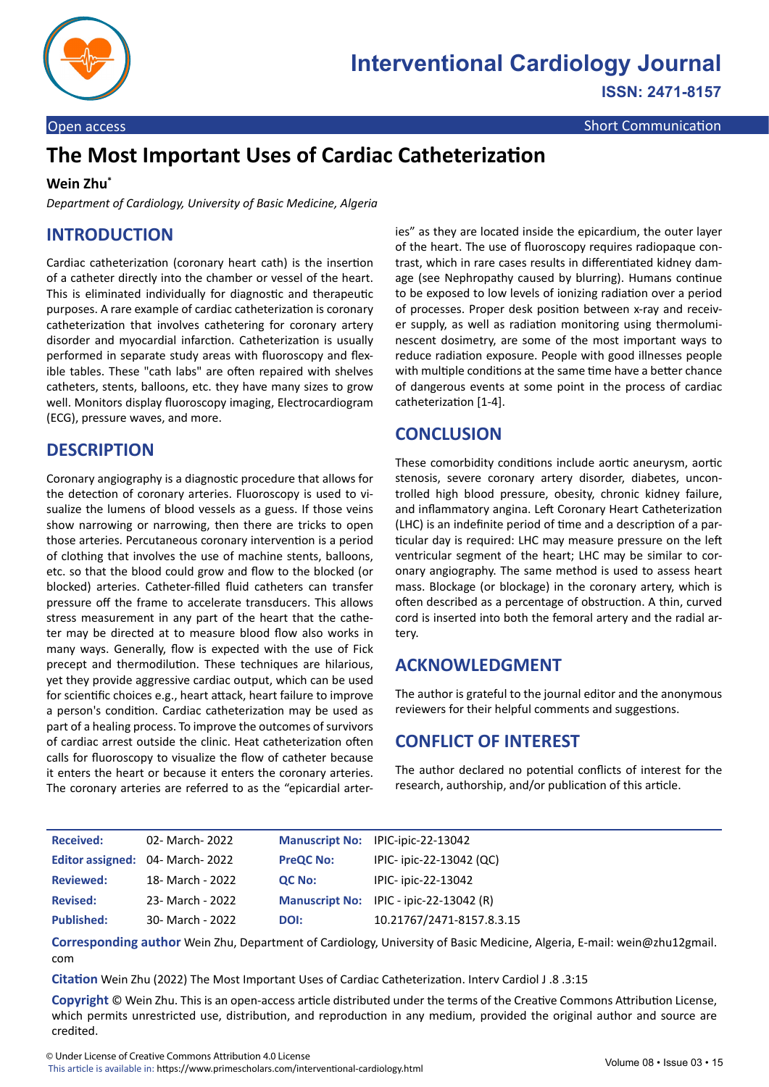

# **The Most Important Uses of Cardiac Catheterization**

#### **Wein Zhu\***

*Department of Cardiology, University of Basic Medicine, Algeria*

### **INTRODUCTION**

Cardiac catheterization (coronary heart cath) is the insertion of a catheter directly into the chamber or vessel of the heart. This is eliminated individually for diagnostic and therapeutic purposes. A rare example of cardiac catheterization is coronary catheterization that involves cathetering for coronary artery disorder and myocardial infarction. Catheterization is usually performed in separate study areas with fluoroscopy and flexible tables. These "cath labs" are often repaired with shelves catheters, stents, balloons, etc. they have many sizes to grow well. Monitors display fluoroscopy imaging, Electrocardiogram (ECG), pressure waves, and more.

#### **DESCRIPTION**

Coronary angiography is a diagnostic procedure that allows for the detection of coronary arteries. Fluoroscopy is used to visualize the lumens of blood vessels as a guess. If those veins show narrowing or narrowing, then there are tricks to open those arteries. Percutaneous coronary intervention is a period of clothing that involves the use of machine stents, balloons, etc. so that the blood could grow and flow to the blocked (or blocked) arteries. Catheter-filled fluid catheters can transfer pressure off the frame to accelerate transducers. This allows stress measurement in any part of the heart that the catheter may be directed at to measure blood flow also works in many ways. Generally, flow is expected with the use of Fick precept and thermodilution. These techniques are hilarious, yet they provide aggressive cardiac output, which can be used for scientific choices e.g., heart attack, heart failure to improve a person's condition. Cardiac catheterization may be used as part of a healing process. To improve the outcomes of survivors of cardiac arrest outside the clinic. Heat catheterization often calls for fluoroscopy to visualize the flow of catheter because it enters the heart or because it enters the coronary arteries. The coronary arteries are referred to as the "epicardial arteries" as they are located inside the epicardium, the outer layer of the heart. The use of fluoroscopy requires radiopaque contrast, which in rare cases results in differentiated kidney damage (see Nephropathy caused by blurring). Humans continue to be exposed to low levels of ionizing radiation over a period of processes. Proper desk position between x-ray and receiver supply, as well as radiation monitoring using thermoluminescent dosimetry, are some of the most important ways to reduce radiation exposure. People with good illnesses people with multiple conditions at the same time have a better chance of dangerous events at some point in the process of cardiac catheterization [1-4].

#### **CONCLUSION**

These comorbidity conditions include aortic aneurysm, aortic stenosis, severe coronary artery disorder, diabetes, uncontrolled high blood pressure, obesity, chronic kidney failure, and inflammatory angina. Left Coronary Heart Catheterization (LHC) is an indefinite period of time and a description of a particular day is required: LHC may measure pressure on the left ventricular segment of the heart; LHC may be similar to coronary angiography. The same method is used to assess heart mass. Blockage (or blockage) in the coronary artery, which is often described as a percentage of obstruction. A thin, curved cord is inserted into both the femoral artery and the radial artery.

#### **ACKNOWLEDGMENT**

The author is grateful to the journal editor and the anonymous reviewers for their helpful comments and suggestions.

#### **CONFLICT OF INTEREST**

The author declared no potential conflicts of interest for the research, authorship, and/or publication of this article.

| <b>Received:</b>  | 02- March- 2022                        |                  | Manuscript No: IPIC-ipic-22-13042       |
|-------------------|----------------------------------------|------------------|-----------------------------------------|
|                   | <b>Editor assigned: 04- March-2022</b> | <b>PreQC No:</b> | IPIC- ipic-22-13042 (QC)                |
| <b>Reviewed:</b>  | 18- March - 2022                       | <b>QC No:</b>    | IPIC- ipic-22-13042                     |
| <b>Revised:</b>   | 23- March - 2022                       |                  | Manuscript No: IPIC - ipic-22-13042 (R) |
| <b>Published:</b> | 30- March - 2022                       | DOI:             | 10.21767/2471-8157.8.3.15               |

**Corresponding author** Wein Zhu, Department of Cardiology, University of Basic Medicine, Algeria, E-mail: wein@zhu12gmail. com

**Citation** Wein Zhu (2022) The Most Important Uses of Cardiac Catheterization. Interv Cardiol J .8 .3:15

**Copyright** © Wein Zhu. This is an open-access article distributed under the terms of the Creative Commons Attribution License, which permits unrestricted use, distribution, and reproduction in any medium, provided the original author and source are credited.